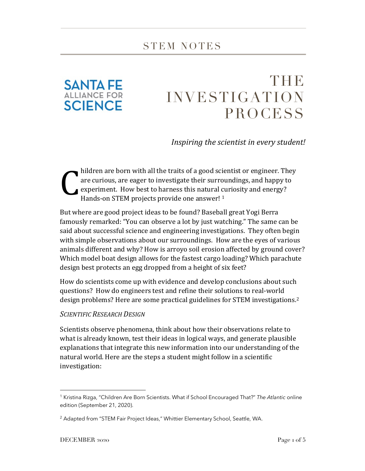

## THE INVESTIGATION PROCESS

*Inspiring the scientist in every student!*

hildren are born with all the traits of a good scientist or engineer. They are curious, are eager to investigate their surroundings, and happy to experiment. How best to harness this natural curiosity and energy? Hands-on STEM projects provide one answer! <sup>1</sup> C

But where are good project ideas to be found? Baseball great Yogi Berra famously remarked: "You can observe a lot by just watching." The same can be said about successful science and engineering investigations. They often begin with simple observations about our surroundings. How are the eyes of various animals different and why? How is arroyo soil erosion affected by ground cover? Which model boat design allows for the fastest cargo loading? Which parachute design best protects an egg dropped from a height of six feet?

How do scientists come up with evidence and develop conclusions about such questions? How do engineers test and refine their solutions to real-world design problems? Here are some practical guidelines for STEM investigations.2

## *SCIENTIFIC RESEARCH DESIGN*

Scientists observe phenomena, think about how their observations relate to what is already known, test their ideas in logical ways, and generate plausible explanations that integrate this new information into our understanding of the natural world. Here are the steps a student might follow in a scientific investigation:

<sup>1</sup> Kristina Rizga, "Children Are Born Scientists. What if School Encouraged That?" *The Atlantic* online edition (September 21, 2020).

<sup>&</sup>lt;sup>2</sup> Adapted from "STEM Fair Project Ideas," Whittier Elementary School, Seattle, WA.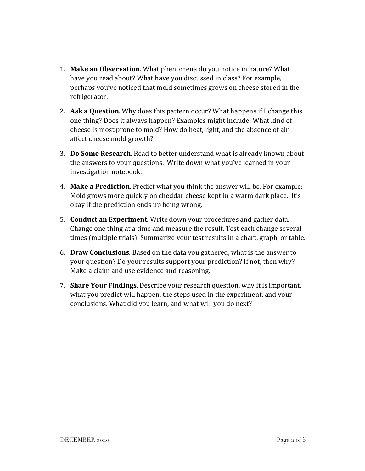- 1. **Make an Observation**. What phenomena do you notice in nature? What have you read about? What have you discussed in class? For example, perhaps you've noticed that mold sometimes grows on cheese stored in the refrigerator.
- 2. **Ask a Question**. Why does this pattern occur? What happens if I change this one thing? Does it always happen? Examples might include: What kind of cheese is most prone to mold? How do heat, light, and the absence of air affect cheese mold growth?
- 3. **Do Some Research**. Read to better understand what is already known about the answers to your questions. Write down what you've learned in your investigation notebook.
- 4. **Make a Prediction**. Predict what you think the answer will be. For example: Mold grows more quickly on cheddar cheese kept in a warm dark place. It's okay if the prediction ends up being wrong.
- 5. **Conduct an Experiment**. Write down your procedures and gather data. Change one thing at a time and measure the result. Test each change several times (multiple trials). Summarize your test results in a chart, graph, or table.
- 6. **Draw Conclusions**. Based on the data you gathered, what is the answer to your question? Do your results support your prediction? If not, then why? Make a claim and use evidence and reasoning.
- 7. **Share Your Findings**. Describe your research question, why it is important, what you predict will happen, the steps used in the experiment, and your conclusions. What did you learn, and what will you do next?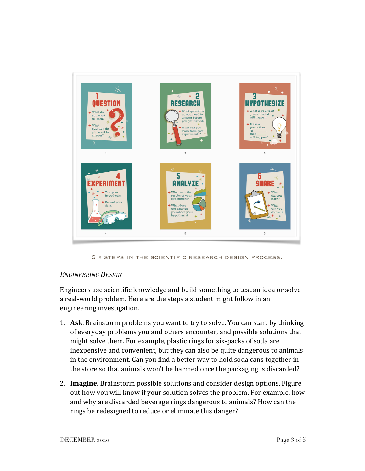

Six steps in the scientific research design process.

## *ENGINEERING DESIGN*

Engineers use scientific knowledge and build something to test an idea or solve a real-world problem. Here are the steps a student might follow in an engineering investigation.

- 1. **Ask**. Brainstorm problems you want to try to solve. You can start by thinking of everyday problems you and others encounter, and possible solutions that might solve them. For example, plastic rings for six-packs of soda are inexpensive and convenient, but they can also be quite dangerous to animals in the environment. Can you find a better way to hold soda cans together in the store so that animals won't be harmed once the packaging is discarded?
- 2. **Imagine**. Brainstorm possible solutions and consider design options. Figure out how you will know if your solution solves the problem. For example, how and why are discarded beverage rings dangerous to animals? How can the rings be redesigned to reduce or eliminate this danger?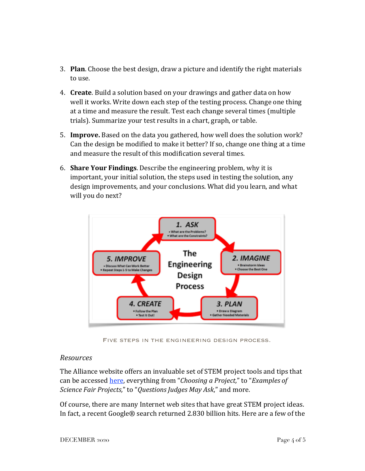- 3. **Plan**. Choose the best design, draw a picture and identify the right materials to use.
- 4. **Create**. Build a solution based on your drawings and gather data on how well it works. Write down each step of the testing process. Change one thing at a time and measure the result. Test each change several times (multiple trials). Summarize your test results in a chart, graph, or table.
- 5. **Improve.** Based on the data you gathered, how well does the solution work? Can the design be modified to make it better? If so, change one thing at a time and measure the result of this modification several times.
- 6. **Share Your Findings**. Describe the engineering problem, why it is important, your initial solution, the steps used in testing the solution, any design improvements, and your conclusions. What did you learn, and what will you do next?



Five steps in the engineering design process.

## *Resources*

The Alliance website offers an invaluable set of STEM project tools and tips that can be accessed here, everything from "*Choosing a Project,*" to "*Examples of Science Fair Projects,*" to "*Questions Judges May Ask*," and more.

Of course, there are many Internet web sites that have great STEM project ideas. In fact, a recent Google® search returned 2.830 billion hits. Here are a few of the